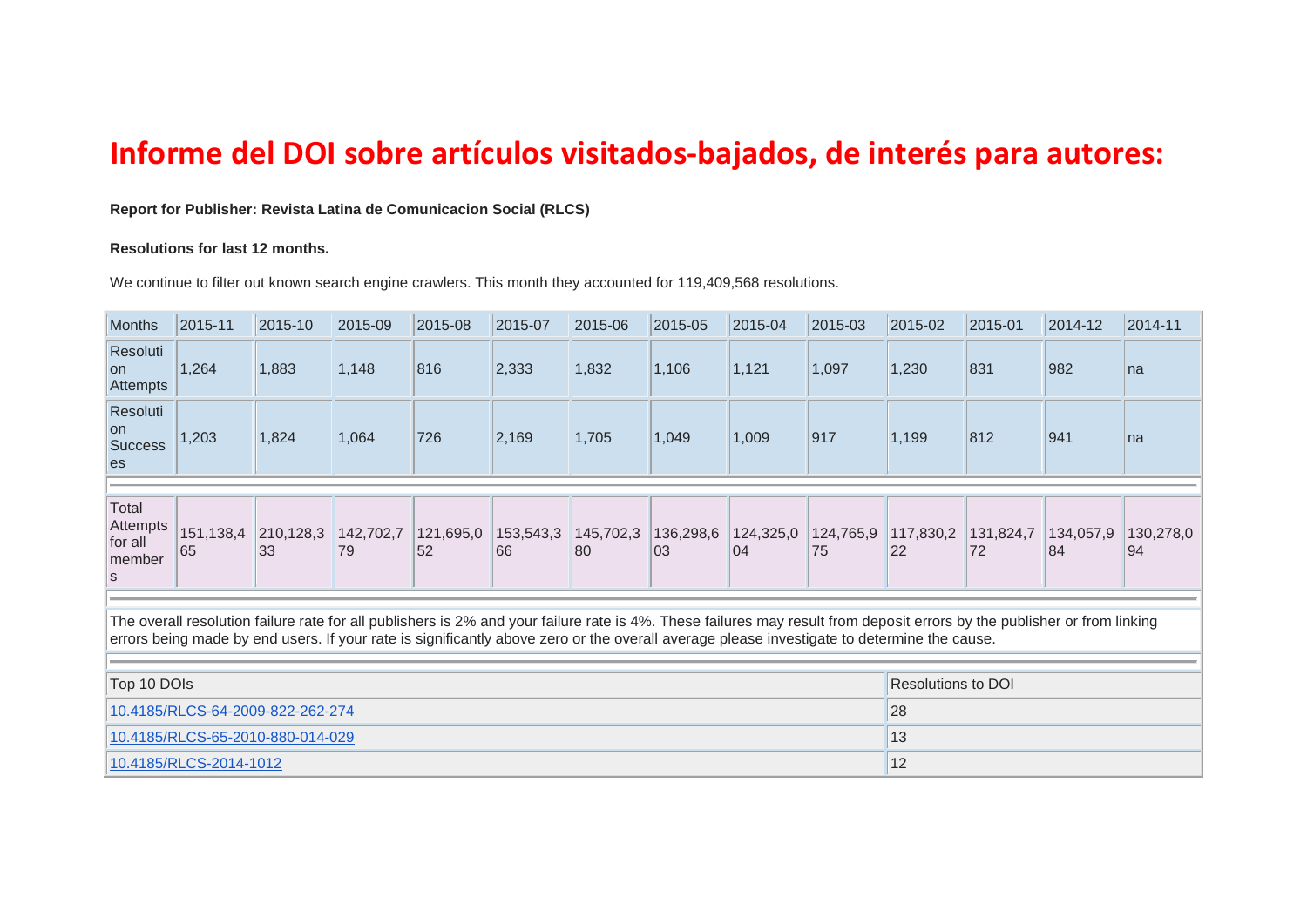## **Informe del DOI sobre artículos visitados-bajados, de interés para autores:**

**Report for Publisher: Revista Latina de Comunicacion Social (RLCS)**

## **Resolutions for last 12 months.**

We continue to filter out known search engine crawlers. This month they accounted for 119,409,568 resolutions.

| Months                                       | 2015-11                | 2015-10                                                                                                                                                                                                                                                                                                                | 2015-09         | 2015-08         | 2015-07         | 2015-06         | 2015-05         | 2015-04         | 2015-03         | 2015-02                   | 2015-01         | 2014-12         | 2014-11         |
|----------------------------------------------|------------------------|------------------------------------------------------------------------------------------------------------------------------------------------------------------------------------------------------------------------------------------------------------------------------------------------------------------------|-----------------|-----------------|-----------------|-----------------|-----------------|-----------------|-----------------|---------------------------|-----------------|-----------------|-----------------|
| Resoluti<br>lon<br>Attempts                  | 1,264                  | 1,883                                                                                                                                                                                                                                                                                                                  | 1,148           | 816             | 2,333           | 1,832           | 1,106           | 1,121           | 1,097           | 1,230                     | 831             | 982             | Ina             |
| Resoluti<br>lon.<br><b>Success</b><br>les    | 1,203                  | 1,824                                                                                                                                                                                                                                                                                                                  | 1,064           | 726             | 2,169           | 1,705           | 1,049           | 1,009           | 917             | 1,199                     | 812             | 941             | ∣na             |
|                                              |                        |                                                                                                                                                                                                                                                                                                                        |                 |                 |                 |                 |                 |                 |                 |                           |                 |                 |                 |
| Total<br>Attempts<br>for all<br>member<br>ls | 151,138,4<br>65        | 210,128,3<br>33                                                                                                                                                                                                                                                                                                        | 142,702,7<br>79 | 121,695,0<br>52 | 153,543,3<br>66 | 145,702,3<br>80 | 136,298,6<br>03 | 124,325,0<br>04 | 124,765,9<br>75 | 117,830,2<br>22           | 131,824,7<br>72 | 134,057,9<br>84 | 130,278,0<br>94 |
|                                              |                        |                                                                                                                                                                                                                                                                                                                        |                 |                 |                 |                 |                 |                 |                 |                           |                 |                 |                 |
|                                              |                        | The overall resolution failure rate for all publishers is 2% and your failure rate is 4%. These failures may result from deposit errors by the publisher or from linking<br>errors being made by end users. If your rate is significantly above zero or the overall average please investigate to determine the cause. |                 |                 |                 |                 |                 |                 |                 |                           |                 |                 |                 |
|                                              |                        |                                                                                                                                                                                                                                                                                                                        |                 |                 |                 |                 |                 |                 |                 |                           |                 |                 |                 |
| Top 10 DOIs                                  |                        |                                                                                                                                                                                                                                                                                                                        |                 |                 |                 |                 |                 |                 |                 | <b>Resolutions to DOI</b> |                 |                 |                 |
|                                              |                        | 10.4185/RLCS-64-2009-822-262-274                                                                                                                                                                                                                                                                                       |                 |                 |                 |                 |                 |                 |                 | 28                        |                 |                 |                 |
|                                              |                        | 10.4185/RLCS-65-2010-880-014-029                                                                                                                                                                                                                                                                                       |                 |                 |                 |                 |                 |                 |                 | 13                        |                 |                 |                 |
|                                              | 10.4185/RLCS-2014-1012 |                                                                                                                                                                                                                                                                                                                        |                 |                 |                 |                 |                 |                 |                 | 12                        |                 |                 |                 |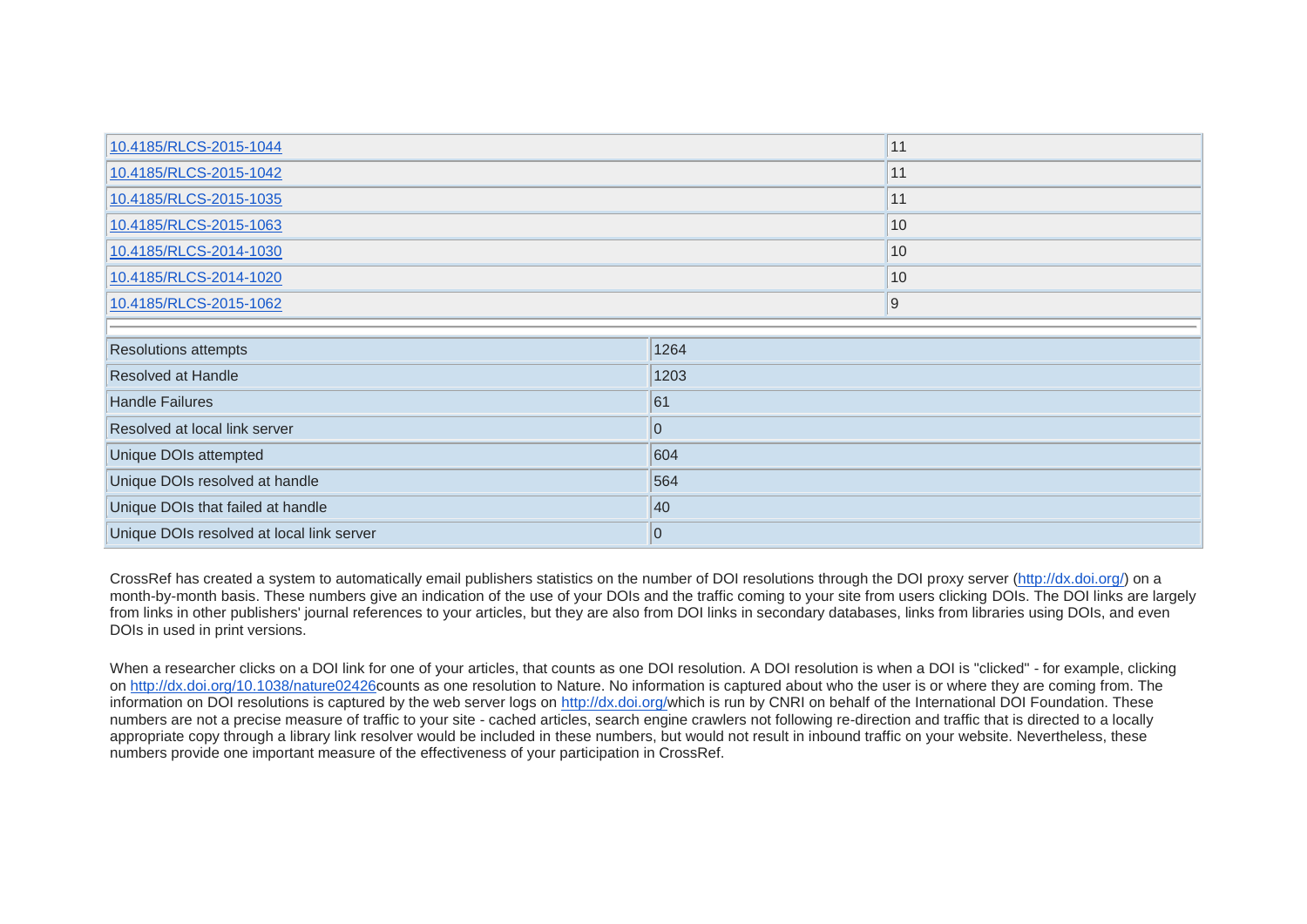| 10.4185/RLCS-2015-1044            |                  | 11 |  |
|-----------------------------------|------------------|----|--|
| 10.4185/RLCS-2015-1042            | 11               |    |  |
| 10.4185/RLCS-2015-1035            | 11               |    |  |
| 10.4185/RLCS-2015-1063            | 10               |    |  |
| 10.4185/RLCS-2014-1030            | 10               |    |  |
| 10.4185/RLCS-2014-1020            | 10               |    |  |
| 10.4185/RLCS-2015-1062            | $\overline{9}$   |    |  |
|                                   |                  |    |  |
|                                   |                  |    |  |
| <b>Resolutions attempts</b>       | 1264             |    |  |
| Resolved at Handle                | 1203             |    |  |
| <b>Handle Failures</b>            | 61               |    |  |
| Resolved at local link server     | $\boldsymbol{0}$ |    |  |
| Unique DOIs attempted             | 604              |    |  |
| Unique DOIs resolved at handle    | 564              |    |  |
| Unique DOIs that failed at handle | 40               |    |  |

CrossRef has created a system to automatically email publishers statistics on the number of DOI resolutions through the DOI proxy server [\(http://dx.doi.org/\)](http://dx.doi.org/) on a month-by-month basis. These numbers give an indication of the use of your DOIs and the traffic coming to your site from users clicking DOIs. The DOI links are largely from links in other publishers' journal references to your articles, but they are also from DOI links in secondary databases, links from libraries using DOIs, and even DOIs in used in print versions.

When a researcher clicks on a DOI link for one of your articles, that counts as one DOI resolution. A DOI resolution is when a DOI is "clicked" - for example, clicking on [http://dx.doi.org/10.1038/nature02426c](http://dx.doi.org/10.1038/nature02426)ounts as one resolution to Nature. No information is captured about who the user is or where they are coming from. The information on DOI resolutions is captured by the web server logs on [http://dx.doi.org/w](http://dx.doi.org/)hich is run by CNRI on behalf of the International DOI Foundation. These numbers are not a precise measure of traffic to your site - cached articles, search engine crawlers not following re-direction and traffic that is directed to a locally appropriate copy through a library link resolver would be included in these numbers, but would not result in inbound traffic on your website. Nevertheless, these numbers provide one important measure of the effectiveness of your participation in CrossRef.